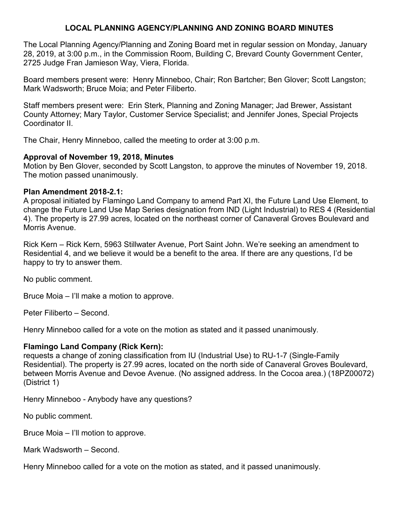# **LOCAL PLANNING AGENCY/PLANNING AND ZONING BOARD MINUTES**

The Local Planning Agency/Planning and Zoning Board met in regular session on Monday, January 28, 2019, at 3:00 p.m., in the Commission Room, Building C, Brevard County Government Center, 2725 Judge Fran Jamieson Way, Viera, Florida.

Board members present were: Henry Minneboo, Chair; Ron Bartcher; Ben Glover; Scott Langston; Mark Wadsworth; Bruce Moia; and Peter Filiberto.

Staff members present were: Erin Sterk, Planning and Zoning Manager; Jad Brewer, Assistant County Attorney; Mary Taylor, Customer Service Specialist; and Jennifer Jones, Special Projects Coordinator II.

The Chair, Henry Minneboo, called the meeting to order at 3:00 p.m.

### **Approval of November 19, 2018, Minutes**

Motion by Ben Glover, seconded by Scott Langston, to approve the minutes of November 19, 2018. The motion passed unanimously.

### **Plan Amendment 2018-2.1:**

A proposal initiated by Flamingo Land Company to amend Part XI, the Future Land Use Element, to change the Future Land Use Map Series designation from IND (Light Industrial) to RES 4 (Residential 4). The property is 27.99 acres, located on the northeast corner of Canaveral Groves Boulevard and Morris Avenue.

Rick Kern – Rick Kern, 5963 Stillwater Avenue, Port Saint John. We're seeking an amendment to Residential 4, and we believe it would be a benefit to the area. If there are any questions, I'd be happy to try to answer them.

No public comment.

Bruce Moia – I'll make a motion to approve.

Peter Filiberto – Second.

Henry Minneboo called for a vote on the motion as stated and it passed unanimously.

# **Flamingo Land Company (Rick Kern):**

requests a change of zoning classification from IU (Industrial Use) to RU-1-7 (Single-Family Residential). The property is 27.99 acres, located on the north side of Canaveral Groves Boulevard, between Morris Avenue and Devoe Avenue. (No assigned address. In the Cocoa area.) (18PZ00072) (District 1)

Henry Minneboo - Anybody have any questions?

No public comment.

Bruce Moia – I'll motion to approve.

Mark Wadsworth – Second.

Henry Minneboo called for a vote on the motion as stated, and it passed unanimously.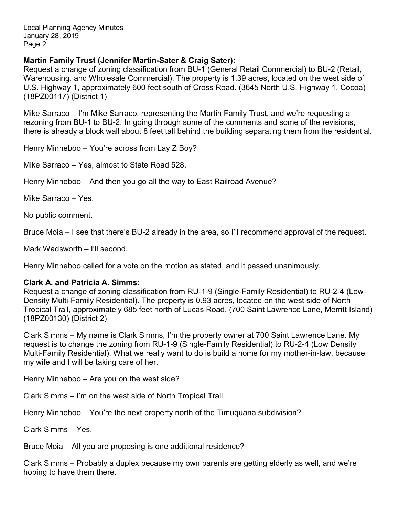## **Martin Family Trust (Jennifer Martin-Sater & Craig Sater):**

Request a change of zoning classification from BU-1 (General Retail Commercial) to BU-2 (Retail, Warehousing, and Wholesale Commercial). The property is 1.39 acres, located on the west side of U.S. Highway 1, approximately 600 feet south of Cross Road. (3645 North U.S. Highway 1, Cocoa) (18PZ00117) (District 1)

Mike Sarraco – I'm Mike Sarraco, representing the Martin Family Trust, and we're requesting a rezoning from BU-1 to BU-2. In going through some of the comments and some of the revisions, there is already a block wall about 8 feet tall behind the building separating them from the residential.

Henry Minneboo – You're across from Lay Z Boy?

Mike Sarraco – Yes, almost to State Road 528.

Henry Minneboo – And then you go all the way to East Railroad Avenue?

Mike Sarraco – Yes.

No public comment.

Bruce Moia – I see that there's BU-2 already in the area, so I'll recommend approval of the request.

Mark Wadsworth – I'll second.

Henry Minneboo called for a vote on the motion as stated, and it passed unanimously.

#### **Clark A. and Patricia A. Simms:**

Request a change of zoning classification from RU-1-9 (Single-Family Residential) to RU-2-4 (Low-Density Multi-Family Residential). The property is 0.93 acres, located on the west side of North Tropical Trail, approximately 685 feet north of Lucas Road. (700 Saint Lawrence Lane, Merritt Island) (18PZ00130) (District 2)

Clark Simms – My name is Clark Simms, I'm the property owner at 700 Saint Lawrence Lane. My request is to change the zoning from RU-1-9 (Single-Family Residential) to RU-2-4 (Low Density Multi-Family Residential). What we really want to do is build a home for my mother-in-law, because my wife and I will be taking care of her.

Henry Minneboo – Are you on the west side?

Clark Simms – I'm on the west side of North Tropical Trail.

Henry Minneboo – You're the next property north of the Timuquana subdivision?

Clark Simms – Yes.

Bruce Moia – All you are proposing is one additional residence?

Clark Simms – Probably a duplex because my own parents are getting elderly as well, and we're hoping to have them there.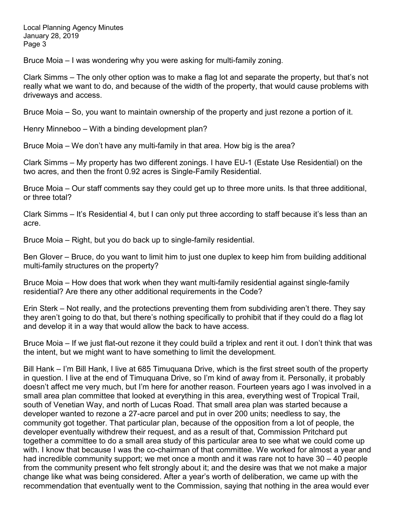Bruce Moia – I was wondering why you were asking for multi-family zoning.

Clark Simms – The only other option was to make a flag lot and separate the property, but that's not really what we want to do, and because of the width of the property, that would cause problems with driveways and access.

Bruce Moia – So, you want to maintain ownership of the property and just rezone a portion of it.

Henry Minneboo – With a binding development plan?

Bruce Moia – We don't have any multi-family in that area. How big is the area?

Clark Simms – My property has two different zonings. I have EU-1 (Estate Use Residential) on the two acres, and then the front 0.92 acres is Single-Family Residential.

Bruce Moia – Our staff comments say they could get up to three more units. Is that three additional, or three total?

Clark Simms – It's Residential 4, but I can only put three according to staff because it's less than an acre.

Bruce Moia – Right, but you do back up to single-family residential.

Ben Glover – Bruce, do you want to limit him to just one duplex to keep him from building additional multi-family structures on the property?

Bruce Moia – How does that work when they want multi-family residential against single-family residential? Are there any other additional requirements in the Code?

Erin Sterk – Not really, and the protections preventing them from subdividing aren't there. They say they aren't going to do that, but there's nothing specifically to prohibit that if they could do a flag lot and develop it in a way that would allow the back to have access.

Bruce Moia – If we just flat-out rezone it they could build a triplex and rent it out. I don't think that was the intent, but we might want to have something to limit the development.

Bill Hank – I'm Bill Hank, I live at 685 Timuquana Drive, which is the first street south of the property in question. I live at the end of Timuquana Drive, so I'm kind of away from it. Personally, it probably doesn't affect me very much, but I'm here for another reason. Fourteen years ago I was involved in a small area plan committee that looked at everything in this area, everything west of Tropical Trail, south of Venetian Way, and north of Lucas Road. That small area plan was started because a developer wanted to rezone a 27-acre parcel and put in over 200 units; needless to say, the community got together. That particular plan, because of the opposition from a lot of people, the developer eventually withdrew their request, and as a result of that, Commission Pritchard put together a committee to do a small area study of this particular area to see what we could come up with. I know that because I was the co-chairman of that committee. We worked for almost a year and had incredible community support; we met once a month and it was rare not to have 30 – 40 people from the community present who felt strongly about it; and the desire was that we not make a major change like what was being considered. After a year's worth of deliberation, we came up with the recommendation that eventually went to the Commission, saying that nothing in the area would ever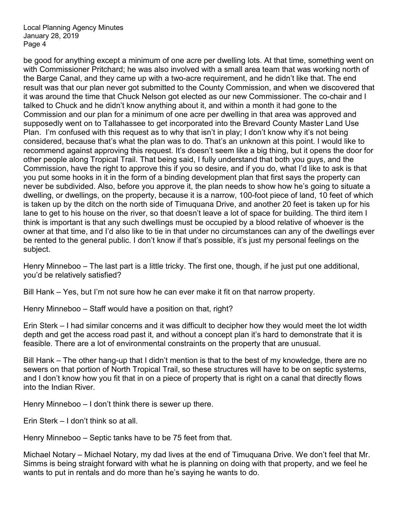be good for anything except a minimum of one acre per dwelling lots. At that time, something went on with Commissioner Pritchard; he was also involved with a small area team that was working north of the Barge Canal, and they came up with a two-acre requirement, and he didn't like that. The end result was that our plan never got submitted to the County Commission, and when we discovered that it was around the time that Chuck Nelson got elected as our new Commissioner. The co-chair and I talked to Chuck and he didn't know anything about it, and within a month it had gone to the Commission and our plan for a minimum of one acre per dwelling in that area was approved and supposedly went on to Tallahassee to get incorporated into the Brevard County Master Land Use Plan. I'm confused with this request as to why that isn't in play; I don't know why it's not being considered, because that's what the plan was to do. That's an unknown at this point. I would like to recommend against approving this request. It's doesn't seem like a big thing, but it opens the door for other people along Tropical Trail. That being said, I fully understand that both you guys, and the Commission, have the right to approve this if you so desire, and if you do, what I'd like to ask is that you put some hooks in it in the form of a binding development plan that first says the property can never be subdivided. Also, before you approve it, the plan needs to show how he's going to situate a dwelling, or dwellings, on the property, because it is a narrow, 100-foot piece of land, 10 feet of which is taken up by the ditch on the north side of Timuquana Drive, and another 20 feet is taken up for his lane to get to his house on the river, so that doesn't leave a lot of space for building. The third item I think is important is that any such dwellings must be occupied by a blood relative of whoever is the owner at that time, and I'd also like to tie in that under no circumstances can any of the dwellings ever be rented to the general public. I don't know if that's possible, it's just my personal feelings on the subject.

Henry Minneboo – The last part is a little tricky. The first one, though, if he just put one additional, you'd be relatively satisfied?

Bill Hank – Yes, but I'm not sure how he can ever make it fit on that narrow property.

Henry Minneboo – Staff would have a position on that, right?

Erin Sterk – I had similar concerns and it was difficult to decipher how they would meet the lot width depth and get the access road past it, and without a concept plan it's hard to demonstrate that it is feasible. There are a lot of environmental constraints on the property that are unusual.

Bill Hank – The other hang-up that I didn't mention is that to the best of my knowledge, there are no sewers on that portion of North Tropical Trail, so these structures will have to be on septic systems, and I don't know how you fit that in on a piece of property that is right on a canal that directly flows into the Indian River.

Henry Minneboo – I don't think there is sewer up there.

Erin Sterk – I don't think so at all.

Henry Minneboo – Septic tanks have to be 75 feet from that.

Michael Notary – Michael Notary, my dad lives at the end of Timuquana Drive. We don't feel that Mr. Simms is being straight forward with what he is planning on doing with that property, and we feel he wants to put in rentals and do more than he's saying he wants to do.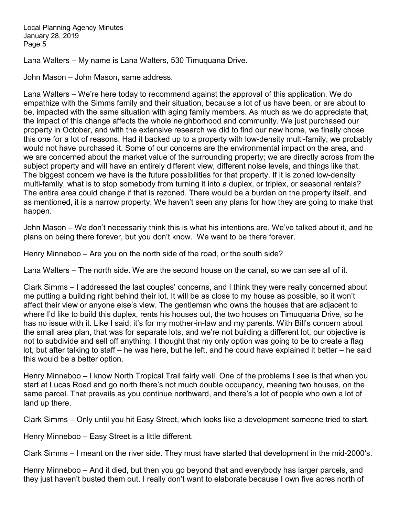Lana Walters – My name is Lana Walters, 530 Timuquana Drive.

John Mason – John Mason, same address.

Lana Walters – We're here today to recommend against the approval of this application. We do empathize with the Simms family and their situation, because a lot of us have been, or are about to be, impacted with the same situation with aging family members. As much as we do appreciate that, the impact of this change affects the whole neighborhood and community. We just purchased our property in October, and with the extensive research we did to find our new home, we finally chose this one for a lot of reasons. Had it backed up to a property with low-density multi-family, we probably would not have purchased it. Some of our concerns are the environmental impact on the area, and we are concerned about the market value of the surrounding property; we are directly across from the subject property and will have an entirely different view, different noise levels, and things like that. The biggest concern we have is the future possibilities for that property. If it is zoned low-density multi-family, what is to stop somebody from turning it into a duplex, or triplex, or seasonal rentals? The entire area could change if that is rezoned. There would be a burden on the property itself, and as mentioned, it is a narrow property. We haven't seen any plans for how they are going to make that happen.

John Mason – We don't necessarily think this is what his intentions are. We've talked about it, and he plans on being there forever, but you don't know. We want to be there forever.

Henry Minneboo – Are you on the north side of the road, or the south side?

Lana Walters – The north side. We are the second house on the canal, so we can see all of it.

Clark Simms – I addressed the last couples' concerns, and I think they were really concerned about me putting a building right behind their lot. It will be as close to my house as possible, so it won't affect their view or anyone else's view. The gentleman who owns the houses that are adjacent to where I'd like to build this duplex, rents his houses out, the two houses on Timuquana Drive, so he has no issue with it. Like I said, it's for my mother-in-law and my parents. With Bill's concern about the small area plan, that was for separate lots, and we're not building a different lot, our objective is not to subdivide and sell off anything. I thought that my only option was going to be to create a flag lot, but after talking to staff – he was here, but he left, and he could have explained it better – he said this would be a better option.

Henry Minneboo – I know North Tropical Trail fairly well. One of the problems I see is that when you start at Lucas Road and go north there's not much double occupancy, meaning two houses, on the same parcel. That prevails as you continue northward, and there's a lot of people who own a lot of land up there.

Clark Simms – Only until you hit Easy Street, which looks like a development someone tried to start.

Henry Minneboo – Easy Street is a little different.

Clark Simms – I meant on the river side. They must have started that development in the mid-2000's.

Henry Minneboo – And it died, but then you go beyond that and everybody has larger parcels, and they just haven't busted them out. I really don't want to elaborate because I own five acres north of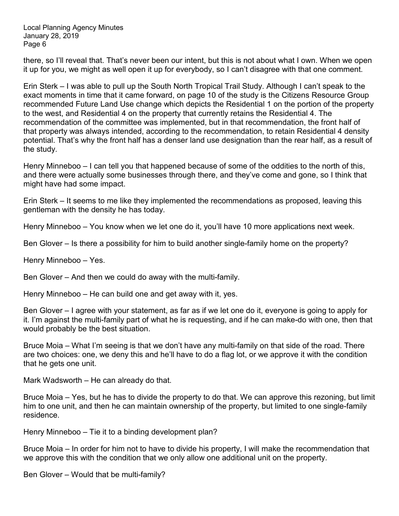there, so I'll reveal that. That's never been our intent, but this is not about what I own. When we open it up for you, we might as well open it up for everybody, so I can't disagree with that one comment.

Erin Sterk – I was able to pull up the South North Tropical Trail Study. Although I can't speak to the exact moments in time that it came forward, on page 10 of the study is the Citizens Resource Group recommended Future Land Use change which depicts the Residential 1 on the portion of the property to the west, and Residential 4 on the property that currently retains the Residential 4. The recommendation of the committee was implemented, but in that recommendation, the front half of that property was always intended, according to the recommendation, to retain Residential 4 density potential. That's why the front half has a denser land use designation than the rear half, as a result of the study.

Henry Minneboo – I can tell you that happened because of some of the oddities to the north of this, and there were actually some businesses through there, and they've come and gone, so I think that might have had some impact.

Erin Sterk – It seems to me like they implemented the recommendations as proposed, leaving this gentleman with the density he has today.

Henry Minneboo – You know when we let one do it, you'll have 10 more applications next week.

Ben Glover – Is there a possibility for him to build another single-family home on the property?

Henry Minneboo – Yes.

Ben Glover – And then we could do away with the multi-family.

Henry Minneboo – He can build one and get away with it, yes.

Ben Glover – I agree with your statement, as far as if we let one do it, everyone is going to apply for it. I'm against the multi-family part of what he is requesting, and if he can make-do with one, then that would probably be the best situation.

Bruce Moia – What I'm seeing is that we don't have any multi-family on that side of the road. There are two choices: one, we deny this and he'll have to do a flag lot, or we approve it with the condition that he gets one unit.

Mark Wadsworth – He can already do that.

Bruce Moia – Yes, but he has to divide the property to do that. We can approve this rezoning, but limit him to one unit, and then he can maintain ownership of the property, but limited to one single-family residence.

Henry Minneboo – Tie it to a binding development plan?

Bruce Moia – In order for him not to have to divide his property, I will make the recommendation that we approve this with the condition that we only allow one additional unit on the property.

Ben Glover – Would that be multi-family?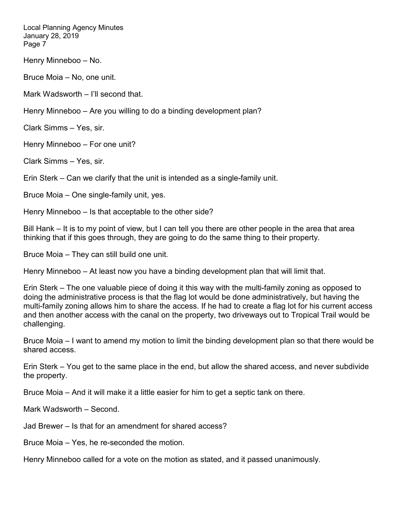Henry Minneboo – No.

Bruce Moia – No, one unit.

Mark Wadsworth – I'll second that.

Henry Minneboo – Are you willing to do a binding development plan?

Clark Simms – Yes, sir.

Henry Minneboo – For one unit?

Clark Simms – Yes, sir.

Erin Sterk – Can we clarify that the unit is intended as a single-family unit.

Bruce Moia – One single-family unit, yes.

Henry Minneboo – Is that acceptable to the other side?

Bill Hank – It is to my point of view, but I can tell you there are other people in the area that area thinking that if this goes through, they are going to do the same thing to their property.

Bruce Moia – They can still build one unit.

Henry Minneboo – At least now you have a binding development plan that will limit that.

Erin Sterk – The one valuable piece of doing it this way with the multi-family zoning as opposed to doing the administrative process is that the flag lot would be done administratively, but having the multi-family zoning allows him to share the access. If he had to create a flag lot for his current access and then another access with the canal on the property, two driveways out to Tropical Trail would be challenging.

Bruce Moia – I want to amend my motion to limit the binding development plan so that there would be shared access.

Erin Sterk – You get to the same place in the end, but allow the shared access, and never subdivide the property.

Bruce Moia – And it will make it a little easier for him to get a septic tank on there.

Mark Wadsworth – Second.

Jad Brewer – Is that for an amendment for shared access?

Bruce Moia – Yes, he re-seconded the motion.

Henry Minneboo called for a vote on the motion as stated, and it passed unanimously.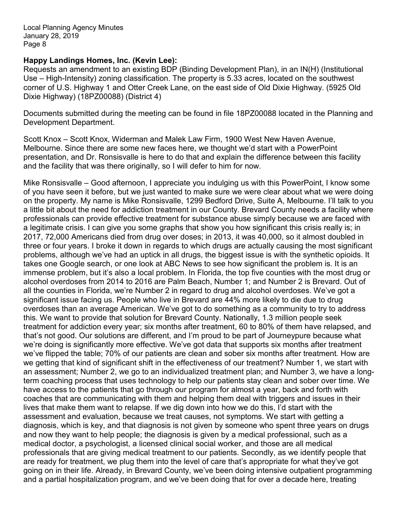### **Happy Landings Homes, Inc. (Kevin Lee):**

Requests an amendment to an existing BDP (Binding Development Plan), in an IN(H) (Institutional Use – High-Intensity) zoning classification. The property is 5.33 acres, located on the southwest corner of U.S. Highway 1 and Otter Creek Lane, on the east side of Old Dixie Highway. (5925 Old Dixie Highway) (18PZ00088) (District 4)

Documents submitted during the meeting can be found in file 18PZ00088 located in the Planning and Development Department.

Scott Knox – Scott Knox, Widerman and Malek Law Firm, 1900 West New Haven Avenue, Melbourne. Since there are some new faces here, we thought we'd start with a PowerPoint presentation, and Dr. Ronsisvalle is here to do that and explain the difference between this facility and the facility that was there originally, so I will defer to him for now.

Mike Ronsisvalle – Good afternoon, I appreciate you indulging us with this PowerPoint, I know some of you have seen it before, but we just wanted to make sure we were clear about what we were doing on the property. My name is Mike Ronsisvalle, 1299 Bedford Drive, Suite A, Melbourne. I'll talk to you a little bit about the need for addiction treatment in our County. Brevard County needs a facility where professionals can provide effective treatment for substance abuse simply because we are faced with a legitimate crisis. I can give you some graphs that show you how significant this crisis really is; in 2017, 72,000 Americans died from drug over doses; in 2013, it was 40,000, so it almost doubled in three or four years. I broke it down in regards to which drugs are actually causing the most significant problems, although we've had an uptick in all drugs, the biggest issue is with the synthetic opioids. It takes one Google search, or one look at ABC News to see how significant the problem is. It is an immense problem, but it's also a local problem. In Florida, the top five counties with the most drug or alcohol overdoses from 2014 to 2016 are Palm Beach, Number 1; and Number 2 is Brevard. Out of all the counties in Florida, we're Number 2 in regard to drug and alcohol overdoses. We've got a significant issue facing us. People who live in Brevard are 44% more likely to die due to drug overdoses than an average American. We've got to do something as a community to try to address this. We want to provide that solution for Brevard County. Nationally, 1.3 million people seek treatment for addiction every year; six months after treatment, 60 to 80% of them have relapsed, and that's not good. Our solutions are different, and I'm proud to be part of Journeypure because what we're doing is significantly more effective. We've got data that supports six months after treatment we've flipped the table; 70% of our patients are clean and sober six months after treatment. How are we getting that kind of significant shift in the effectiveness of our treatment? Number 1, we start with an assessment; Number 2, we go to an individualized treatment plan; and Number 3, we have a longterm coaching process that uses technology to help our patients stay clean and sober over time. We have access to the patients that go through our program for almost a year, back and forth with coaches that are communicating with them and helping them deal with triggers and issues in their lives that make them want to relapse. If we dig down into how we do this, I'd start with the assessment and evaluation, because we treat causes, not symptoms. We start with getting a diagnosis, which is key, and that diagnosis is not given by someone who spent three years on drugs and now they want to help people; the diagnosis is given by a medical professional, such as a medical doctor, a psychologist, a licensed clinical social worker, and those are all medical professionals that are giving medical treatment to our patients. Secondly, as we identify people that are ready for treatment, we plug them into the level of care that's appropriate for what they've got going on in their life. Already, in Brevard County, we've been doing intensive outpatient programming and a partial hospitalization program, and we've been doing that for over a decade here, treating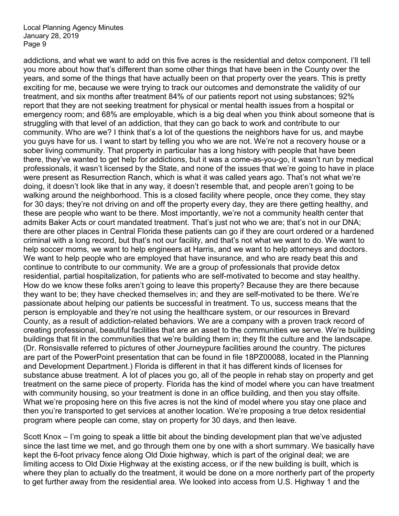addictions, and what we want to add on this five acres is the residential and detox component. I'll tell you more about how that's different than some other things that have been in the County over the years, and some of the things that have actually been on that property over the years. This is pretty exciting for me, because we were trying to track our outcomes and demonstrate the validity of our treatment, and six months after treatment 84% of our patients report not using substances; 92% report that they are not seeking treatment for physical or mental health issues from a hospital or emergency room; and 68% are employable, which is a big deal when you think about someone that is struggling with that level of an addiction, that they can go back to work and contribute to our community. Who are we? I think that's a lot of the questions the neighbors have for us, and maybe you guys have for us. I want to start by telling you who we are not. We're not a recovery house or a sober living community. That property in particular has a long history with people that have been there, they've wanted to get help for addictions, but it was a come-as-you-go, it wasn't run by medical professionals, it wasn't licensed by the State, and none of the issues that we're going to have in place were present as Resurrection Ranch, which is what it was called years ago. That's not what we're doing, it doesn't look like that in any way, it doesn't resemble that, and people aren't going to be walking around the neighborhood. This is a closed facility where people, once they come, they stay for 30 days; they're not driving on and off the property every day, they are there getting healthy, and these are people who want to be there. Most importantly, we're not a community health center that admits Baker Acts or court mandated treatment. That's just not who we are; that's not in our DNA; there are other places in Central Florida these patients can go if they are court ordered or a hardened criminal with a long record, but that's not our facility, and that's not what we want to do. We want to help soccer moms, we want to help engineers at Harris, and we want to help attorneys and doctors. We want to help people who are employed that have insurance, and who are ready beat this and continue to contribute to our community. We are a group of professionals that provide detox residential, partial hospitalization, for patients who are self-motivated to become and stay healthy. How do we know these folks aren't going to leave this property? Because they are there because they want to be; they have checked themselves in; and they are self-motivated to be there. We're passionate about helping our patients be successful in treatment. To us, success means that the person is employable and they're not using the healthcare system, or our resources in Brevard County, as a result of addiction-related behaviors. We are a company with a proven track record of creating professional, beautiful facilities that are an asset to the communities we serve. We're building buildings that fit in the communities that we're building them in; they fit the culture and the landscape. (Dr. Ronsisvalle referred to pictures of other Journeypure facilities around the country. The pictures are part of the PowerPoint presentation that can be found in file 18PZ00088, located in the Planning and Development Department.) Florida is different in that it has different kinds of licenses for substance abuse treatment. A lot of places you go, all of the people in rehab stay on property and get treatment on the same piece of property. Florida has the kind of model where you can have treatment with community housing, so your treatment is done in an office building, and then you stay offsite. What we're proposing here on this five acres is not the kind of model where you stay one place and then you're transported to get services at another location. We're proposing a true detox residential program where people can come, stay on property for 30 days, and then leave.

Scott Knox – I'm going to speak a little bit about the binding development plan that we've adjusted since the last time we met, and go through them one by one with a short summary. We basically have kept the 6-foot privacy fence along Old Dixie highway, which is part of the original deal; we are limiting access to Old Dixie Highway at the existing access, or if the new building is built, which is where they plan to actually do the treatment, it would be done on a more northerly part of the property to get further away from the residential area. We looked into access from U.S. Highway 1 and the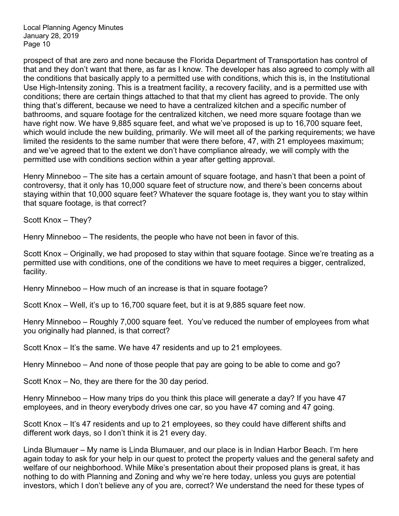prospect of that are zero and none because the Florida Department of Transportation has control of that and they don't want that there, as far as I know. The developer has also agreed to comply with all the conditions that basically apply to a permitted use with conditions, which this is, in the Institutional Use High-Intensity zoning. This is a treatment facility, a recovery facility, and is a permitted use with conditions; there are certain things attached to that that my client has agreed to provide. The only thing that's different, because we need to have a centralized kitchen and a specific number of bathrooms, and square footage for the centralized kitchen, we need more square footage than we have right now. We have 9,885 square feet, and what we've proposed is up to 16,700 square feet, which would include the new building, primarily. We will meet all of the parking requirements; we have limited the residents to the same number that were there before, 47, with 21 employees maximum; and we've agreed that to the extent we don't have compliance already, we will comply with the permitted use with conditions section within a year after getting approval.

Henry Minneboo – The site has a certain amount of square footage, and hasn't that been a point of controversy, that it only has 10,000 square feet of structure now, and there's been concerns about staying within that 10,000 square feet? Whatever the square footage is, they want you to stay within that square footage, is that correct?

Scott Knox – They?

Henry Minneboo – The residents, the people who have not been in favor of this.

Scott Knox – Originally, we had proposed to stay within that square footage. Since we're treating as a permitted use with conditions, one of the conditions we have to meet requires a bigger, centralized, facility.

Henry Minneboo – How much of an increase is that in square footage?

Scott Knox – Well, it's up to 16,700 square feet, but it is at 9,885 square feet now.

Henry Minneboo – Roughly 7,000 square feet. You've reduced the number of employees from what you originally had planned, is that correct?

Scott Knox – It's the same. We have 47 residents and up to 21 employees.

Henry Minneboo – And none of those people that pay are going to be able to come and go?

Scott Knox – No, they are there for the 30 day period.

Henry Minneboo – How many trips do you think this place will generate a day? If you have 47 employees, and in theory everybody drives one car, so you have 47 coming and 47 going.

Scott Knox – It's 47 residents and up to 21 employees, so they could have different shifts and different work days, so I don't think it is 21 every day.

Linda Blumauer – My name is Linda Blumauer, and our place is in Indian Harbor Beach. I'm here again today to ask for your help in our quest to protect the property values and the general safety and welfare of our neighborhood. While Mike's presentation about their proposed plans is great, it has nothing to do with Planning and Zoning and why we're here today, unless you guys are potential investors, which I don't believe any of you are, correct? We understand the need for these types of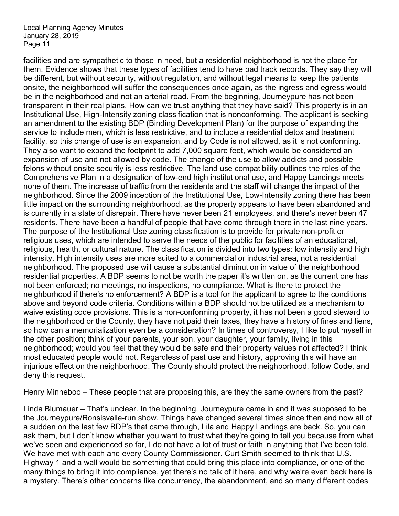facilities and are sympathetic to those in need, but a residential neighborhood is not the place for them. Evidence shows that these types of facilities tend to have bad track records. They say they will be different, but without security, without regulation, and without legal means to keep the patients onsite, the neighborhood will suffer the consequences once again, as the ingress and egress would be in the neighborhood and not an arterial road. From the beginning, Journeypure has not been transparent in their real plans. How can we trust anything that they have said? This property is in an Institutional Use, High-Intensity zoning classification that is nonconforming. The applicant is seeking an amendment to the existing BDP (Binding Development Plan) for the purpose of expanding the service to include men, which is less restrictive, and to include a residential detox and treatment facility, so this change of use is an expansion, and by Code is not allowed, as it is not conforming. They also want to expand the footprint to add 7,000 square feet, which would be considered an expansion of use and not allowed by code. The change of the use to allow addicts and possible felons without onsite security is less restrictive. The land use compatibility outlines the roles of the Comprehensive Plan in a designation of low-end high institutional use, and Happy Landings meets none of them. The increase of traffic from the residents and the staff will change the impact of the neighborhood. Since the 2009 inception of the Institutional Use, Low-Intensity zoning there has been little impact on the surrounding neighborhood, as the property appears to have been abandoned and is currently in a state of disrepair. There have never been 21 employees, and there's never been 47 residents. There have been a handful of people that have come through there in the last nine years. The purpose of the Institutional Use zoning classification is to provide for private non-profit or religious uses, which are intended to serve the needs of the public for facilities of an educational, religious, health, or cultural nature. The classification is divided into two types: low intensity and high intensity. High intensity uses are more suited to a commercial or industrial area, not a residential neighborhood. The proposed use will cause a substantial diminution in value of the neighborhood residential properties. A BDP seems to not be worth the paper it's written on, as the current one has not been enforced; no meetings, no inspections, no compliance. What is there to protect the neighborhood if there's no enforcement? A BDP is a tool for the applicant to agree to the conditions above and beyond code criteria. Conditions within a BDP should not be utilized as a mechanism to waive existing code provisions. This is a non-conforming property, it has not been a good steward to the neighborhood or the County, they have not paid their taxes, they have a history of fines and liens, so how can a memorialization even be a consideration? In times of controversy, I like to put myself in the other position; think of your parents, your son, your daughter, your family, living in this neighborhood; would you feel that they would be safe and their property values not affected? I think most educated people would not. Regardless of past use and history, approving this will have an injurious effect on the neighborhood. The County should protect the neighborhood, follow Code, and deny this request.

Henry Minneboo – These people that are proposing this, are they the same owners from the past?

Linda Blumauer – That's unclear. In the beginning, Journeypure came in and it was supposed to be the Journeypure/Ronsisvalle-run show. Things have changed several times since then and now all of a sudden on the last few BDP's that came through, Lila and Happy Landings are back. So, you can ask them, but I don't know whether you want to trust what they're going to tell you because from what we've seen and experienced so far, I do not have a lot of trust or faith in anything that I've been told. We have met with each and every County Commissioner. Curt Smith seemed to think that U.S. Highway 1 and a wall would be something that could bring this place into compliance, or one of the many things to bring it into compliance, yet there's no talk of it here, and why we're even back here is a mystery. There's other concerns like concurrency, the abandonment, and so many different codes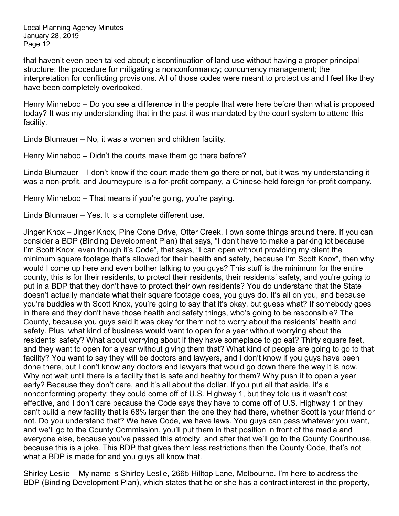that haven't even been talked about; discontinuation of land use without having a proper principal structure; the procedure for mitigating a nonconformancy; concurrency management; the interpretation for conflicting provisions. All of those codes were meant to protect us and I feel like they have been completely overlooked.

Henry Minneboo – Do you see a difference in the people that were here before than what is proposed today? It was my understanding that in the past it was mandated by the court system to attend this facility.

Linda Blumauer – No, it was a women and children facility.

Henry Minneboo – Didn't the courts make them go there before?

Linda Blumauer – I don't know if the court made them go there or not, but it was my understanding it was a non-profit, and Journeypure is a for-profit company, a Chinese-held foreign for-profit company.

Henry Minneboo – That means if you're going, you're paying.

Linda Blumauer – Yes. It is a complete different use.

Jinger Knox – Jinger Knox, Pine Cone Drive, Otter Creek. I own some things around there. If you can consider a BDP (Binding Development Plan) that says, "I don't have to make a parking lot because I'm Scott Knox, even though it's Code", that says, "I can open without providing my client the minimum square footage that's allowed for their health and safety, because I'm Scott Knox", then why would I come up here and even bother talking to you guys? This stuff is the minimum for the entire county, this is for their residents, to protect their residents, their residents' safety, and you're going to put in a BDP that they don't have to protect their own residents? You do understand that the State doesn't actually mandate what their square footage does, you guys do. It's all on you, and because you're buddies with Scott Knox, you're going to say that it's okay, but guess what? If somebody goes in there and they don't have those health and safety things, who's going to be responsible? The County, because you guys said it was okay for them not to worry about the residents' health and safety. Plus, what kind of business would want to open for a year without worrying about the residents' safety? What about worrying about if they have someplace to go eat? Thirty square feet, and they want to open for a year without giving them that? What kind of people are going to go to that facility? You want to say they will be doctors and lawyers, and I don't know if you guys have been done there, but I don't know any doctors and lawyers that would go down there the way it is now. Why not wait until there is a facility that is safe and healthy for them? Why push it to open a year early? Because they don't care, and it's all about the dollar. If you put all that aside, it's a nonconforming property; they could come off of U.S. Highway 1, but they told us it wasn't cost effective, and I don't care because the Code says they have to come off of U.S. Highway 1 or they can't build a new facility that is 68% larger than the one they had there, whether Scott is your friend or not. Do you understand that? We have Code, we have laws. You guys can pass whatever you want, and we'll go to the County Commission, you'll put them in that position in front of the media and everyone else, because you've passed this atrocity, and after that we'll go to the County Courthouse, because this is a joke. This BDP that gives them less restrictions than the County Code, that's not what a BDP is made for and you guys all know that.

Shirley Leslie – My name is Shirley Leslie, 2665 Hilltop Lane, Melbourne. I'm here to address the BDP (Binding Development Plan), which states that he or she has a contract interest in the property,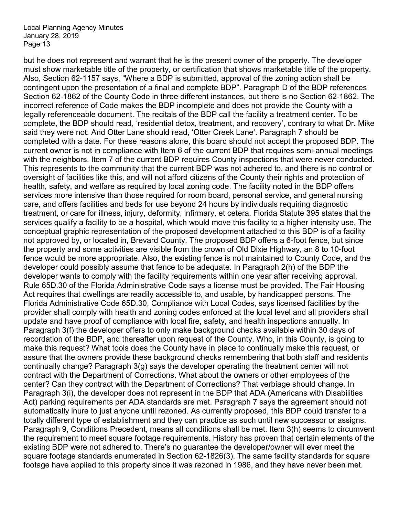but he does not represent and warrant that he is the present owner of the property. The developer must show marketable title of the property, or certification that shows marketable title of the property. Also, Section 62-1157 says, "Where a BDP is submitted, approval of the zoning action shall be contingent upon the presentation of a final and complete BDP". Paragraph D of the BDP references Section 62-1862 of the County Code in three different instances, but there is no Section 62-1862. The incorrect reference of Code makes the BDP incomplete and does not provide the County with a legally referenceable document. The recitals of the BDP call the facility a treatment center. To be complete, the BDP should read, 'residential detox, treatment, and recovery', contrary to what Dr. Mike said they were not. And Otter Lane should read, 'Otter Creek Lane'. Paragraph 7 should be completed with a date. For these reasons alone, this board should not accept the proposed BDP. The current owner is not in compliance with Item 6 of the current BDP that requires semi-annual meetings with the neighbors. Item 7 of the current BDP requires County inspections that were never conducted. This represents to the community that the current BDP was not adhered to, and there is no control or oversight of facilities like this, and will not afford citizens of the County their rights and protection of health, safety, and welfare as required by local zoning code. The facility noted in the BDP offers services more intensive than those required for room board, personal service, and general nursing care, and offers facilities and beds for use beyond 24 hours by individuals requiring diagnostic treatment, or care for illness, injury, deformity, infirmary, et cetera. Florida Statute 395 states that the services qualify a facility to be a hospital, which would move this facility to a higher intensity use. The conceptual graphic representation of the proposed development attached to this BDP is of a facility not approved by, or located in, Brevard County. The proposed BDP offers a 6-foot fence, but since the property and some activities are visible from the crown of Old Dixie Highway, an 8 to 10-foot fence would be more appropriate. Also, the existing fence is not maintained to County Code, and the developer could possibly assume that fence to be adequate. In Paragraph 2(h) of the BDP the developer wants to comply with the facility requirements within one year after receiving approval. Rule 65D.30 of the Florida Administrative Code says a license must be provided. The Fair Housing Act requires that dwellings are readily accessible to, and usable, by handicapped persons. The Florida Administrative Code 65D.30, Compliance with Local Codes, says licensed facilities by the provider shall comply with health and zoning codes enforced at the local level and all providers shall update and have proof of compliance with local fire, safety, and health inspections annually. In Paragraph 3(f) the developer offers to only make background checks available within 30 days of recordation of the BDP, and thereafter upon request of the County. Who, in this County, is going to make this request? What tools does the County have in place to continually make this request, or assure that the owners provide these background checks remembering that both staff and residents continually change? Paragraph 3(g) says the developer operating the treatment center will not contract with the Department of Corrections. What about the owners or other employees of the center? Can they contract with the Department of Corrections? That verbiage should change. In Paragraph 3(i), the developer does not represent in the BDP that ADA (Americans with Disabilities Act) parking requirements per ADA standards are met. Paragraph 7 says the agreement should not automatically inure to just anyone until rezoned. As currently proposed, this BDP could transfer to a totally different type of establishment and they can practice as such until new successor or assigns. Paragraph 9, Conditions Precedent, means all conditions shall be met. Item 3(h) seems to circumvent the requirement to meet square footage requirements. History has proven that certain elements of the existing BDP were not adhered to. There's no guarantee the developer/owner will ever meet the square footage standards enumerated in Section 62-1826(3). The same facility standards for square footage have applied to this property since it was rezoned in 1986, and they have never been met.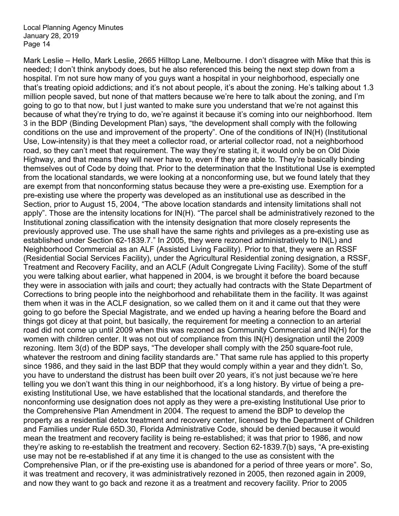Mark Leslie – Hello, Mark Leslie, 2665 Hilltop Lane, Melbourne. I don't disagree with Mike that this is needed; I don't think anybody does, but he also referenced this being the next step down from a hospital. I'm not sure how many of you guys want a hospital in your neighborhood, especially one that's treating opioid addictions; and it's not about people, it's about the zoning. He's talking about 1.3 million people saved, but none of that matters because we're here to talk about the zoning, and I'm going to go to that now, but I just wanted to make sure you understand that we're not against this because of what they're trying to do, we're against it because it's coming into our neighborhood. Item 3 in the BDP (Binding Development Plan) says, "the development shall comply with the following conditions on the use and improvement of the property". One of the conditions of IN(H) (Institutional Use, Low-intensity) is that they meet a collector road, or arterial collector road, not a neighborhood road, so they can't meet that requirement. The way they're stating it, it would only be on Old Dixie Highway, and that means they will never have to, even if they are able to. They're basically binding themselves out of Code by doing that. Prior to the determination that the Institutional Use is exempted from the locational standards, we were looking at a nonconforming use, but we found lately that they are exempt from that nonconforming status because they were a pre-existing use. Exemption for a pre-existing use where the property was developed as an institutional use as described in the Section, prior to August 15, 2004, "The above location standards and intensity limitations shall not apply". Those are the intensity locations for IN(H). "The parcel shall be administratively rezoned to the Institutional zoning classification with the intensity designation that more closely represents the previously approved use. The use shall have the same rights and privileges as a pre-existing use as established under Section 62-1839.7." In 2005, they were rezoned administratively to IN(L) and Neighborhood Commercial as an ALF (Assisted Living Facility). Prior to that, they were an RSSF (Residential Social Services Facility), under the Agricultural Residential zoning designation, a RSSF, Treatment and Recovery Facility, and an ACLF (Adult Congregate Living Facility). Some of the stuff you were talking about earlier, what happened in 2004, is we brought it before the board because they were in association with jails and court; they actually had contracts with the State Department of Corrections to bring people into the neighborhood and rehabilitate them in the facility. It was against them when it was in the ACLF designation, so we called them on it and it came out that they were going to go before the Special Magistrate, and we ended up having a hearing before the Board and things got dicey at that point, but basically, the requirement for meeting a connection to an arterial road did not come up until 2009 when this was rezoned as Community Commercial and IN(H) for the women with children center. It was not out of compliance from this IN(H) designation until the 2009 rezoning. Item 3(d) of the BDP says, "The developer shall comply with the 250 square-foot rule, whatever the restroom and dining facility standards are." That same rule has applied to this property since 1986, and they said in the last BDP that they would comply within a year and they didn't. So, you have to understand the distrust has been built over 20 years, it's not just because we're here telling you we don't want this thing in our neighborhood, it's a long history. By virtue of being a preexisting Institutional Use, we have established that the locational standards, and therefore the nonconforming use designation does not apply as they were a pre-existing Institutional Use prior to the Comprehensive Plan Amendment in 2004. The request to amend the BDP to develop the property as a residential detox treatment and recovery center, licensed by the Department of Children and Families under Rule 65D.30, Florida Administrative Code, should be denied because it would mean the treatment and recovery facility is being re-established; it was that prior to 1986, and now they're asking to re-establish the treatment and recovery. Section 62-1839.7(b) says, "A pre-existing use may not be re-established if at any time it is changed to the use as consistent with the Comprehensive Plan, or if the pre-existing use is abandoned for a period of three years or more". So, it was treatment and recovery, it was administratively rezoned in 2005, then rezoned again in 2009, and now they want to go back and rezone it as a treatment and recovery facility. Prior to 2005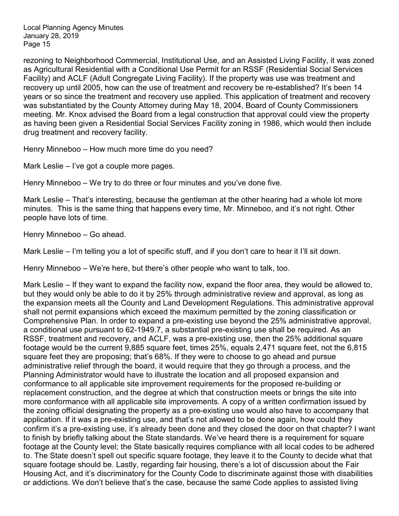rezoning to Neighborhood Commercial, Institutional Use, and an Assisted Living Facility, it was zoned as Agricultural Residential with a Conditional Use Permit for an RSSF (Residential Social Services Facility) and ACLF (Adult Congregate Living Facility). If the property was use was treatment and recovery up until 2005, how can the use of treatment and recovery be re-established? It's been 14 years or so since the treatment and recovery use applied. This application of treatment and recovery was substantiated by the County Attorney during May 18, 2004, Board of County Commissioners meeting. Mr. Knox advised the Board from a legal construction that approval could view the property as having been given a Residential Social Services Facility zoning in 1986, which would then include drug treatment and recovery facility.

Henry Minneboo – How much more time do you need?

Mark Leslie – I've got a couple more pages.

Henry Minneboo – We try to do three or four minutes and you've done five.

Mark Leslie – That's interesting, because the gentleman at the other hearing had a whole lot more minutes. This is the same thing that happens every time, Mr. Minneboo, and it's not right. Other people have lots of time.

Henry Minneboo – Go ahead.

Mark Leslie – I'm telling you a lot of specific stuff, and if you don't care to hear it I'll sit down.

Henry Minneboo – We're here, but there's other people who want to talk, too.

Mark Leslie – If they want to expand the facility now, expand the floor area, they would be allowed to, but they would only be able to do it by 25% through administrative review and approval, as long as the expansion meets all the County and Land Development Regulations. This administrative approval shall not permit expansions which exceed the maximum permitted by the zoning classification or Comprehensive Plan. In order to expand a pre-existing use beyond the 25% administrative approval, a conditional use pursuant to 62-1949.7, a substantial pre-existing use shall be required. As an RSSF, treatment and recovery, and ACLF, was a pre-existing use, then the 25% additional square footage would be the current 9,885 square feet, times 25%, equals 2,471 square feet, not the 6,815 square feet they are proposing; that's 68%. If they were to choose to go ahead and pursue administrative relief through the board, it would require that they go through a process, and the Planning Administrator would have to illustrate the location and all proposed expansion and conformance to all applicable site improvement requirements for the proposed re-building or replacement construction, and the degree at which that construction meets or brings the site into more conformance with all applicable site improvements. A copy of a written confirmation issued by the zoning official designating the property as a pre-existing use would also have to accompany that application. If it was a pre-existing use, and that's not allowed to be done again, how could they confirm it's a pre-existing use, it's already been done and they closed the door on that chapter? I want to finish by briefly talking about the State standards. We've heard there is a requirement for square footage at the County level; the State basically requires compliance with all local codes to be adhered to. The State doesn't spell out specific square footage, they leave it to the County to decide what that square footage should be. Lastly, regarding fair housing, there's a lot of discussion about the Fair Housing Act, and it's discriminatory for the County Code to discriminate against those with disabilities or addictions. We don't believe that's the case, because the same Code applies to assisted living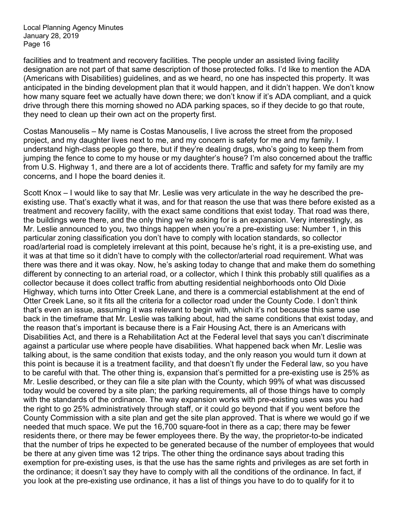facilities and to treatment and recovery facilities. The people under an assisted living facility designation are not part of that same description of those protected folks. I'd like to mention the ADA (Americans with Disabilities) guidelines, and as we heard, no one has inspected this property. It was anticipated in the binding development plan that it would happen, and it didn't happen. We don't know how many square feet we actually have down there; we don't know if it's ADA compliant, and a quick drive through there this morning showed no ADA parking spaces, so if they decide to go that route, they need to clean up their own act on the property first.

Costas Manouselis – My name is Costas Manouselis, I live across the street from the proposed project, and my daughter lives next to me, and my concern is safety for me and my family. I understand high-class people go there, but if they're dealing drugs, who's going to keep them from jumping the fence to come to my house or my daughter's house? I'm also concerned about the traffic from U.S. Highway 1, and there are a lot of accidents there. Traffic and safety for my family are my concerns, and I hope the board denies it.

Scott Knox – I would like to say that Mr. Leslie was very articulate in the way he described the preexisting use. That's exactly what it was, and for that reason the use that was there before existed as a treatment and recovery facility, with the exact same conditions that exist today. That road was there, the buildings were there, and the only thing we're asking for is an expansion. Very interestingly, as Mr. Leslie announced to you, two things happen when you're a pre-existing use: Number 1, in this particular zoning classification you don't have to comply with location standards, so collector road/arterial road is completely irrelevant at this point, because he's right, it is a pre-existing use, and it was at that time so it didn't have to comply with the collector/arterial road requirement. What was there was there and it was okay. Now, he's asking today to change that and make them do something different by connecting to an arterial road, or a collector, which I think this probably still qualifies as a collector because it does collect traffic from abutting residential neighborhoods onto Old Dixie Highway, which turns into Otter Creek Lane, and there is a commercial establishment at the end of Otter Creek Lane, so it fits all the criteria for a collector road under the County Code. I don't think that's even an issue, assuming it was relevant to begin with, which it's not because this same use back in the timeframe that Mr. Leslie was talking about, had the same conditions that exist today, and the reason that's important is because there is a Fair Housing Act, there is an Americans with Disabilities Act, and there is a Rehabilitation Act at the Federal level that says you can't discriminate against a particular use where people have disabilities. What happened back when Mr. Leslie was talking about, is the same condition that exists today, and the only reason you would turn it down at this point is because it is a treatment facility, and that doesn't fly under the Federal law, so you have to be careful with that. The other thing is, expansion that's permitted for a pre-existing use is 25% as Mr. Leslie described, or they can file a site plan with the County, which 99% of what was discussed today would be covered by a site plan; the parking requirements, all of those things have to comply with the standards of the ordinance. The way expansion works with pre-existing uses was you had the right to go 25% administratively through staff, or it could go beyond that if you went before the County Commission with a site plan and get the site plan approved. That is where we would go if we needed that much space. We put the 16,700 square-foot in there as a cap; there may be fewer residents there, or there may be fewer employees there. By the way, the proprietor-to-be indicated that the number of trips he expected to be generated because of the number of employees that would be there at any given time was 12 trips. The other thing the ordinance says about trading this exemption for pre-existing uses, is that the use has the same rights and privileges as are set forth in the ordinance; it doesn't say they have to comply with all the conditions of the ordinance. In fact, if you look at the pre-existing use ordinance, it has a list of things you have to do to qualify for it to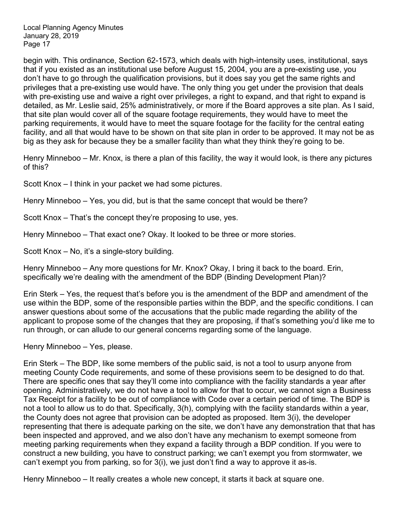begin with. This ordinance, Section 62-1573, which deals with high-intensity uses, institutional, says that if you existed as an institutional use before August 15, 2004, you are a pre-existing use, you don't have to go through the qualification provisions, but it does say you get the same rights and privileges that a pre-existing use would have. The only thing you get under the provision that deals with pre-existing use and waive a right over privileges, a right to expand, and that right to expand is detailed, as Mr. Leslie said, 25% administratively, or more if the Board approves a site plan. As I said, that site plan would cover all of the square footage requirements, they would have to meet the parking requirements, it would have to meet the square footage for the facility for the central eating facility, and all that would have to be shown on that site plan in order to be approved. It may not be as big as they ask for because they be a smaller facility than what they think they're going to be.

Henry Minneboo – Mr. Knox, is there a plan of this facility, the way it would look, is there any pictures of this?

Scott Knox – I think in your packet we had some pictures.

Henry Minneboo – Yes, you did, but is that the same concept that would be there?

Scott Knox – That's the concept they're proposing to use, yes.

Henry Minneboo – That exact one? Okay. It looked to be three or more stories.

Scott Knox – No, it's a single-story building.

Henry Minneboo – Any more questions for Mr. Knox? Okay, I bring it back to the board. Erin, specifically we're dealing with the amendment of the BDP (Binding Development Plan)?

Erin Sterk – Yes, the request that's before you is the amendment of the BDP and amendment of the use within the BDP, some of the responsible parties within the BDP, and the specific conditions. I can answer questions about some of the accusations that the public made regarding the ability of the applicant to propose some of the changes that they are proposing, if that's something you'd like me to run through, or can allude to our general concerns regarding some of the language.

Henry Minneboo – Yes, please.

Erin Sterk – The BDP, like some members of the public said, is not a tool to usurp anyone from meeting County Code requirements, and some of these provisions seem to be designed to do that. There are specific ones that say they'll come into compliance with the facility standards a year after opening. Administratively, we do not have a tool to allow for that to occur, we cannot sign a Business Tax Receipt for a facility to be out of compliance with Code over a certain period of time. The BDP is not a tool to allow us to do that. Specifically, 3(h), complying with the facility standards within a year, the County does not agree that provision can be adopted as proposed. Item 3(i), the developer representing that there is adequate parking on the site, we don't have any demonstration that that has been inspected and approved, and we also don't have any mechanism to exempt someone from meeting parking requirements when they expand a facility through a BDP condition. If you were to construct a new building, you have to construct parking; we can't exempt you from stormwater, we can't exempt you from parking, so for 3(i), we just don't find a way to approve it as-is.

Henry Minneboo – It really creates a whole new concept, it starts it back at square one.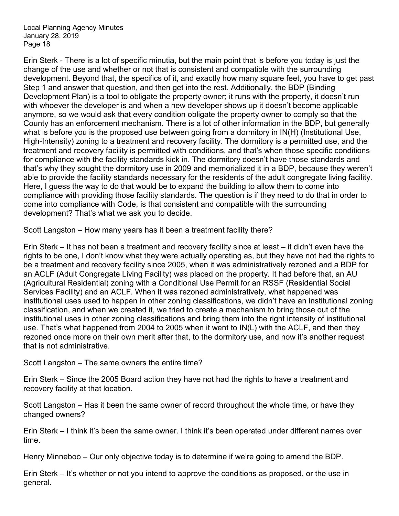Erin Sterk - There is a lot of specific minutia, but the main point that is before you today is just the change of the use and whether or not that is consistent and compatible with the surrounding development. Beyond that, the specifics of it, and exactly how many square feet, you have to get past Step 1 and answer that question, and then get into the rest. Additionally, the BDP (Binding Development Plan) is a tool to obligate the property owner; it runs with the property, it doesn't run with whoever the developer is and when a new developer shows up it doesn't become applicable anymore, so we would ask that every condition obligate the property owner to comply so that the County has an enforcement mechanism. There is a lot of other information in the BDP, but generally what is before you is the proposed use between going from a dormitory in IN(H) (Institutional Use, High-Intensity) zoning to a treatment and recovery facility. The dormitory is a permitted use, and the treatment and recovery facility is permitted with conditions, and that's when those specific conditions for compliance with the facility standards kick in. The dormitory doesn't have those standards and that's why they sought the dormitory use in 2009 and memorialized it in a BDP, because they weren't able to provide the facility standards necessary for the residents of the adult congregate living facility. Here, I guess the way to do that would be to expand the building to allow them to come into compliance with providing those facility standards. The question is if they need to do that in order to come into compliance with Code, is that consistent and compatible with the surrounding development? That's what we ask you to decide.

Scott Langston – How many years has it been a treatment facility there?

Erin Sterk – It has not been a treatment and recovery facility since at least – it didn't even have the rights to be one, I don't know what they were actually operating as, but they have not had the rights to be a treatment and recovery facility since 2005, when it was administratively rezoned and a BDP for an ACLF (Adult Congregate Living Facility) was placed on the property. It had before that, an AU (Agricultural Residential) zoning with a Conditional Use Permit for an RSSF (Residential Social Services Facility) and an ACLF. When it was rezoned administratively, what happened was institutional uses used to happen in other zoning classifications, we didn't have an institutional zoning classification, and when we created it, we tried to create a mechanism to bring those out of the institutional uses in other zoning classifications and bring them into the right intensity of institutional use. That's what happened from 2004 to 2005 when it went to IN(L) with the ACLF, and then they rezoned once more on their own merit after that, to the dormitory use, and now it's another request that is not administrative.

Scott Langston – The same owners the entire time?

Erin Sterk – Since the 2005 Board action they have not had the rights to have a treatment and recovery facility at that location.

Scott Langston – Has it been the same owner of record throughout the whole time, or have they changed owners?

Erin Sterk – I think it's been the same owner. I think it's been operated under different names over time.

Henry Minneboo – Our only objective today is to determine if we're going to amend the BDP.

Erin Sterk – It's whether or not you intend to approve the conditions as proposed, or the use in general.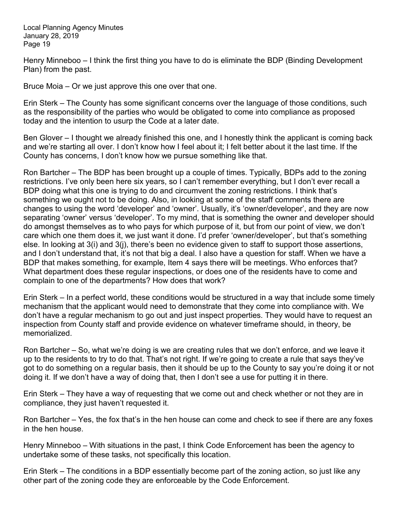Henry Minneboo – I think the first thing you have to do is eliminate the BDP (Binding Development Plan) from the past.

Bruce Moia – Or we just approve this one over that one.

Erin Sterk – The County has some significant concerns over the language of those conditions, such as the responsibility of the parties who would be obligated to come into compliance as proposed today and the intention to usurp the Code at a later date.

Ben Glover – I thought we already finished this one, and I honestly think the applicant is coming back and we're starting all over. I don't know how I feel about it; I felt better about it the last time. If the County has concerns, I don't know how we pursue something like that.

Ron Bartcher – The BDP has been brought up a couple of times. Typically, BDPs add to the zoning restrictions. I've only been here six years, so I can't remember everything, but I don't ever recall a BDP doing what this one is trying to do and circumvent the zoning restrictions. I think that's something we ought not to be doing. Also, in looking at some of the staff comments there are changes to using the word 'developer' and 'owner'. Usually, it's 'owner/developer', and they are now separating 'owner' versus 'developer'. To my mind, that is something the owner and developer should do amongst themselves as to who pays for which purpose of it, but from our point of view, we don't care which one them does it, we just want it done. I'd prefer 'owner/developer', but that's something else. In looking at 3(i) and 3(j), there's been no evidence given to staff to support those assertions, and I don't understand that, it's not that big a deal. I also have a question for staff. When we have a BDP that makes something, for example, Item 4 says there will be meetings. Who enforces that? What department does these regular inspections, or does one of the residents have to come and complain to one of the departments? How does that work?

Erin Sterk – In a perfect world, these conditions would be structured in a way that include some timely mechanism that the applicant would need to demonstrate that they come into compliance with. We don't have a regular mechanism to go out and just inspect properties. They would have to request an inspection from County staff and provide evidence on whatever timeframe should, in theory, be memorialized.

Ron Bartcher – So, what we're doing is we are creating rules that we don't enforce, and we leave it up to the residents to try to do that. That's not right. If we're going to create a rule that says they've got to do something on a regular basis, then it should be up to the County to say you're doing it or not doing it. If we don't have a way of doing that, then I don't see a use for putting it in there.

Erin Sterk – They have a way of requesting that we come out and check whether or not they are in compliance, they just haven't requested it.

Ron Bartcher – Yes, the fox that's in the hen house can come and check to see if there are any foxes in the hen house.

Henry Minneboo – With situations in the past, I think Code Enforcement has been the agency to undertake some of these tasks, not specifically this location.

Erin Sterk – The conditions in a BDP essentially become part of the zoning action, so just like any other part of the zoning code they are enforceable by the Code Enforcement.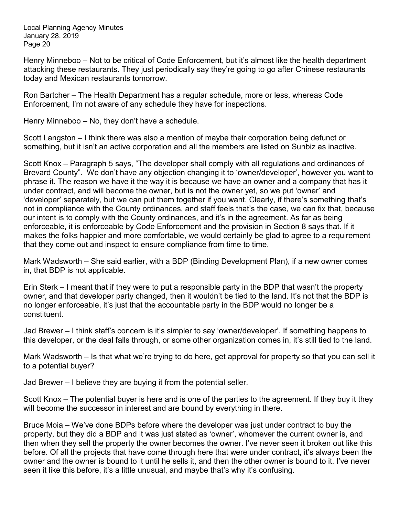Henry Minneboo – Not to be critical of Code Enforcement, but it's almost like the health department attacking these restaurants. They just periodically say they're going to go after Chinese restaurants today and Mexican restaurants tomorrow.

Ron Bartcher – The Health Department has a regular schedule, more or less, whereas Code Enforcement, I'm not aware of any schedule they have for inspections.

Henry Minneboo – No, they don't have a schedule.

Scott Langston – I think there was also a mention of maybe their corporation being defunct or something, but it isn't an active corporation and all the members are listed on Sunbiz as inactive.

Scott Knox – Paragraph 5 says, "The developer shall comply with all regulations and ordinances of Brevard County". We don't have any objection changing it to 'owner/developer', however you want to phrase it. The reason we have it the way it is because we have an owner and a company that has it under contract, and will become the owner, but is not the owner yet, so we put 'owner' and 'developer' separately, but we can put them together if you want. Clearly, if there's something that's not in compliance with the County ordinances, and staff feels that's the case, we can fix that, because our intent is to comply with the County ordinances, and it's in the agreement. As far as being enforceable, it is enforceable by Code Enforcement and the provision in Section 8 says that. If it makes the folks happier and more comfortable, we would certainly be glad to agree to a requirement that they come out and inspect to ensure compliance from time to time.

Mark Wadsworth – She said earlier, with a BDP (Binding Development Plan), if a new owner comes in, that BDP is not applicable.

Erin Sterk – I meant that if they were to put a responsible party in the BDP that wasn't the property owner, and that developer party changed, then it wouldn't be tied to the land. It's not that the BDP is no longer enforceable, it's just that the accountable party in the BDP would no longer be a constituent.

Jad Brewer – I think staff's concern is it's simpler to say 'owner/developer'. If something happens to this developer, or the deal falls through, or some other organization comes in, it's still tied to the land.

Mark Wadsworth – Is that what we're trying to do here, get approval for property so that you can sell it to a potential buyer?

Jad Brewer – I believe they are buying it from the potential seller.

Scott Knox – The potential buyer is here and is one of the parties to the agreement. If they buy it they will become the successor in interest and are bound by everything in there.

Bruce Moia – We've done BDPs before where the developer was just under contract to buy the property, but they did a BDP and it was just stated as 'owner', whomever the current owner is, and then when they sell the property the owner becomes the owner. I've never seen it broken out like this before. Of all the projects that have come through here that were under contract, it's always been the owner and the owner is bound to it until he sells it, and then the other owner is bound to it. I've never seen it like this before, it's a little unusual, and maybe that's why it's confusing.